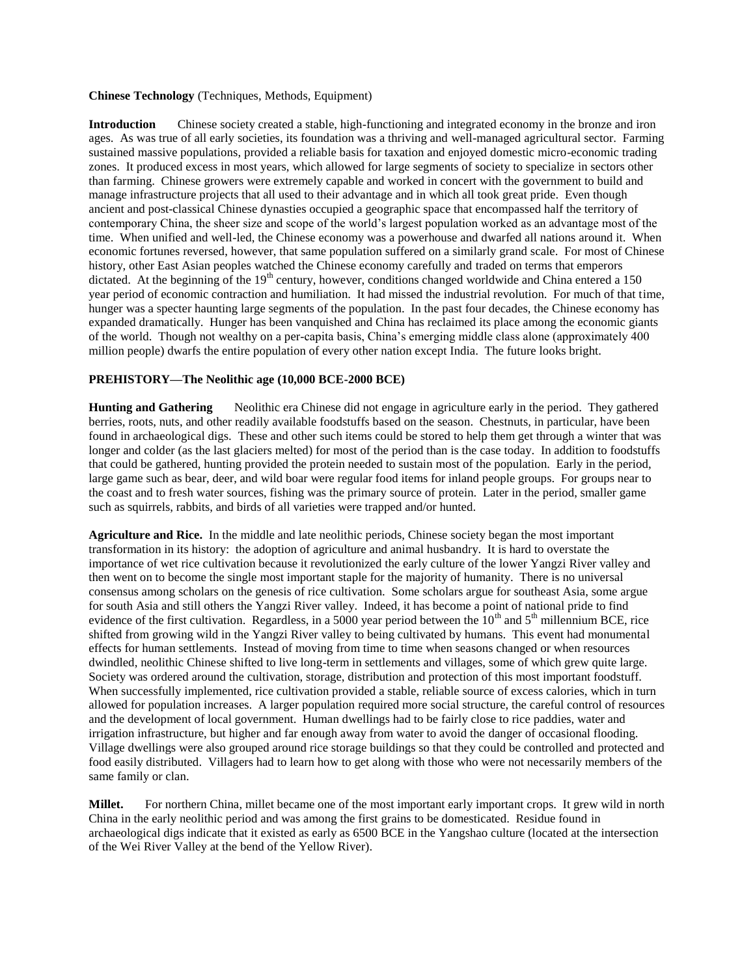#### **Chinese Technology** (Techniques, Methods, Equipment)

**Introduction** Chinese society created a stable, high-functioning and integrated economy in the bronze and iron ages. As was true of all early societies, its foundation was a thriving and well-managed agricultural sector. Farming sustained massive populations, provided a reliable basis for taxation and enjoyed domestic micro-economic trading zones. It produced excess in most years, which allowed for large segments of society to specialize in sectors other than farming. Chinese growers were extremely capable and worked in concert with the government to build and manage infrastructure projects that all used to their advantage and in which all took great pride. Even though ancient and post-classical Chinese dynasties occupied a geographic space that encompassed half the territory of contemporary China, the sheer size and scope of the world's largest population worked as an advantage most of the time. When unified and well-led, the Chinese economy was a powerhouse and dwarfed all nations around it. When economic fortunes reversed, however, that same population suffered on a similarly grand scale. For most of Chinese history, other East Asian peoples watched the Chinese economy carefully and traded on terms that emperors dictated. At the beginning of the 19<sup>th</sup> century, however, conditions changed worldwide and China entered a 150 year period of economic contraction and humiliation. It had missed the industrial revolution. For much of that time, hunger was a specter haunting large segments of the population. In the past four decades, the Chinese economy has expanded dramatically. Hunger has been vanquished and China has reclaimed its place among the economic giants of the world. Though not wealthy on a per-capita basis, China's emerging middle class alone (approximately 400 million people) dwarfs the entire population of every other nation except India. The future looks bright.

## **PREHISTORY—The Neolithic age (10,000 BCE-2000 BCE)**

**Hunting and Gathering** Neolithic era Chinese did not engage in agriculture early in the period. They gathered berries, roots, nuts, and other readily available foodstuffs based on the season. Chestnuts, in particular, have been found in archaeological digs. These and other such items could be stored to help them get through a winter that was longer and colder (as the last glaciers melted) for most of the period than is the case today. In addition to foodstuffs that could be gathered, hunting provided the protein needed to sustain most of the population. Early in the period, large game such as bear, deer, and wild boar were regular food items for inland people groups. For groups near to the coast and to fresh water sources, fishing was the primary source of protein. Later in the period, smaller game such as squirrels, rabbits, and birds of all varieties were trapped and/or hunted.

**Agriculture and Rice.** In the middle and late neolithic periods, Chinese society began the most important transformation in its history: the adoption of agriculture and animal husbandry. It is hard to overstate the importance of wet rice cultivation because it revolutionized the early culture of the lower Yangzi River valley and then went on to become the single most important staple for the majority of humanity. There is no universal consensus among scholars on the genesis of rice cultivation. Some scholars argue for southeast Asia, some argue for south Asia and still others the Yangzi River valley. Indeed, it has become a point of national pride to find evidence of the first cultivation. Regardless, in a 5000 year period between the  $10<sup>th</sup>$  and  $5<sup>th</sup>$  millennium BCE, rice shifted from growing wild in the Yangzi River valley to being cultivated by humans. This event had monumental effects for human settlements. Instead of moving from time to time when seasons changed or when resources dwindled, neolithic Chinese shifted to live long-term in settlements and villages, some of which grew quite large. Society was ordered around the cultivation, storage, distribution and protection of this most important foodstuff. When successfully implemented, rice cultivation provided a stable, reliable source of excess calories, which in turn allowed for population increases. A larger population required more social structure, the careful control of resources and the development of local government. Human dwellings had to be fairly close to rice paddies, water and irrigation infrastructure, but higher and far enough away from water to avoid the danger of occasional flooding. Village dwellings were also grouped around rice storage buildings so that they could be controlled and protected and food easily distributed. Villagers had to learn how to get along with those who were not necessarily members of the same family or clan.

**Millet.** For northern China, millet became one of the most important early important crops. It grew wild in north China in the early neolithic period and was among the first grains to be domesticated. Residue found in archaeological digs indicate that it existed as early as 6500 BCE in the Yangshao culture (located at the intersection of the Wei River Valley at the bend of the Yellow River).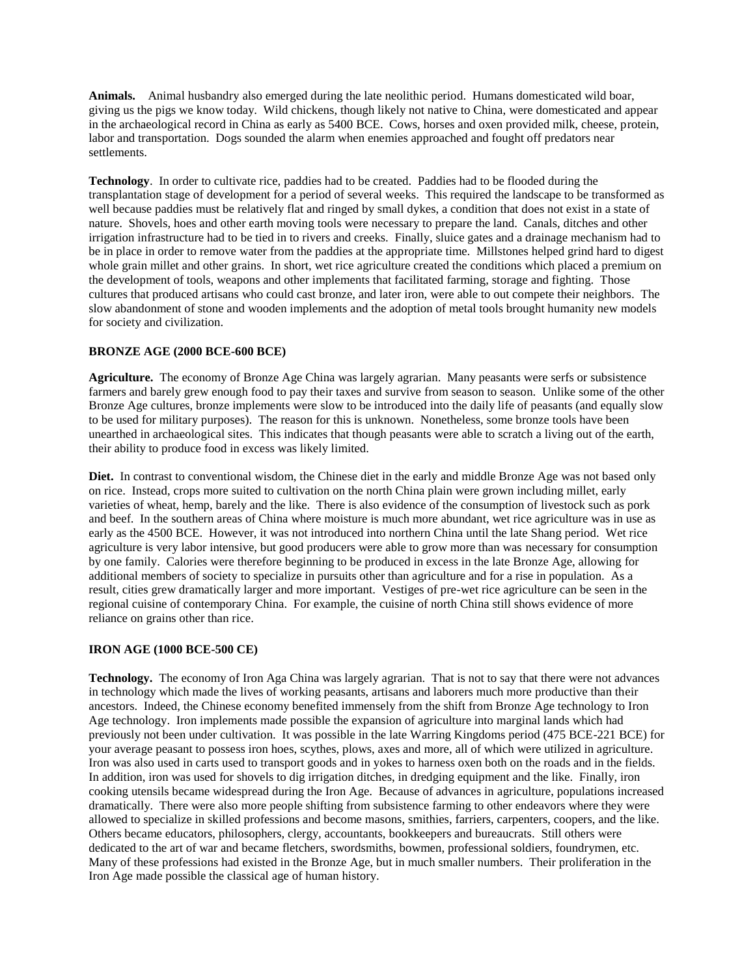**Animals.** Animal husbandry also emerged during the late neolithic period. Humans domesticated wild boar, giving us the pigs we know today. Wild chickens, though likely not native to China, were domesticated and appear in the archaeological record in China as early as 5400 BCE. Cows, horses and oxen provided milk, cheese, protein, labor and transportation. Dogs sounded the alarm when enemies approached and fought off predators near settlements.

**Technology**. In order to cultivate rice, paddies had to be created. Paddies had to be flooded during the transplantation stage of development for a period of several weeks. This required the landscape to be transformed as well because paddies must be relatively flat and ringed by small dykes, a condition that does not exist in a state of nature. Shovels, hoes and other earth moving tools were necessary to prepare the land. Canals, ditches and other irrigation infrastructure had to be tied in to rivers and creeks. Finally, sluice gates and a drainage mechanism had to be in place in order to remove water from the paddies at the appropriate time. Millstones helped grind hard to digest whole grain millet and other grains. In short, wet rice agriculture created the conditions which placed a premium on the development of tools, weapons and other implements that facilitated farming, storage and fighting. Those cultures that produced artisans who could cast bronze, and later iron, were able to out compete their neighbors. The slow abandonment of stone and wooden implements and the adoption of metal tools brought humanity new models for society and civilization.

### **BRONZE AGE (2000 BCE-600 BCE)**

**Agriculture.** The economy of Bronze Age China was largely agrarian. Many peasants were serfs or subsistence farmers and barely grew enough food to pay their taxes and survive from season to season. Unlike some of the other Bronze Age cultures, bronze implements were slow to be introduced into the daily life of peasants (and equally slow to be used for military purposes). The reason for this is unknown. Nonetheless, some bronze tools have been unearthed in archaeological sites. This indicates that though peasants were able to scratch a living out of the earth, their ability to produce food in excess was likely limited.

**Diet.** In contrast to conventional wisdom, the Chinese diet in the early and middle Bronze Age was not based only on rice. Instead, crops more suited to cultivation on the north China plain were grown including millet, early varieties of wheat, hemp, barely and the like. There is also evidence of the consumption of livestock such as pork and beef. In the southern areas of China where moisture is much more abundant, wet rice agriculture was in use as early as the 4500 BCE. However, it was not introduced into northern China until the late Shang period. Wet rice agriculture is very labor intensive, but good producers were able to grow more than was necessary for consumption by one family. Calories were therefore beginning to be produced in excess in the late Bronze Age, allowing for additional members of society to specialize in pursuits other than agriculture and for a rise in population. As a result, cities grew dramatically larger and more important. Vestiges of pre-wet rice agriculture can be seen in the regional cuisine of contemporary China. For example, the cuisine of north China still shows evidence of more reliance on grains other than rice.

#### **IRON AGE (1000 BCE-500 CE)**

**Technology.** The economy of Iron Aga China was largely agrarian. That is not to say that there were not advances in technology which made the lives of working peasants, artisans and laborers much more productive than their ancestors. Indeed, the Chinese economy benefited immensely from the shift from Bronze Age technology to Iron Age technology. Iron implements made possible the expansion of agriculture into marginal lands which had previously not been under cultivation. It was possible in the late Warring Kingdoms period (475 BCE-221 BCE) for your average peasant to possess iron hoes, scythes, plows, axes and more, all of which were utilized in agriculture. Iron was also used in carts used to transport goods and in yokes to harness oxen both on the roads and in the fields. In addition, iron was used for shovels to dig irrigation ditches, in dredging equipment and the like. Finally, iron cooking utensils became widespread during the Iron Age. Because of advances in agriculture, populations increased dramatically. There were also more people shifting from subsistence farming to other endeavors where they were allowed to specialize in skilled professions and become masons, smithies, farriers, carpenters, coopers, and the like. Others became educators, philosophers, clergy, accountants, bookkeepers and bureaucrats. Still others were dedicated to the art of war and became fletchers, swordsmiths, bowmen, professional soldiers, foundrymen, etc. Many of these professions had existed in the Bronze Age, but in much smaller numbers. Their proliferation in the Iron Age made possible the classical age of human history.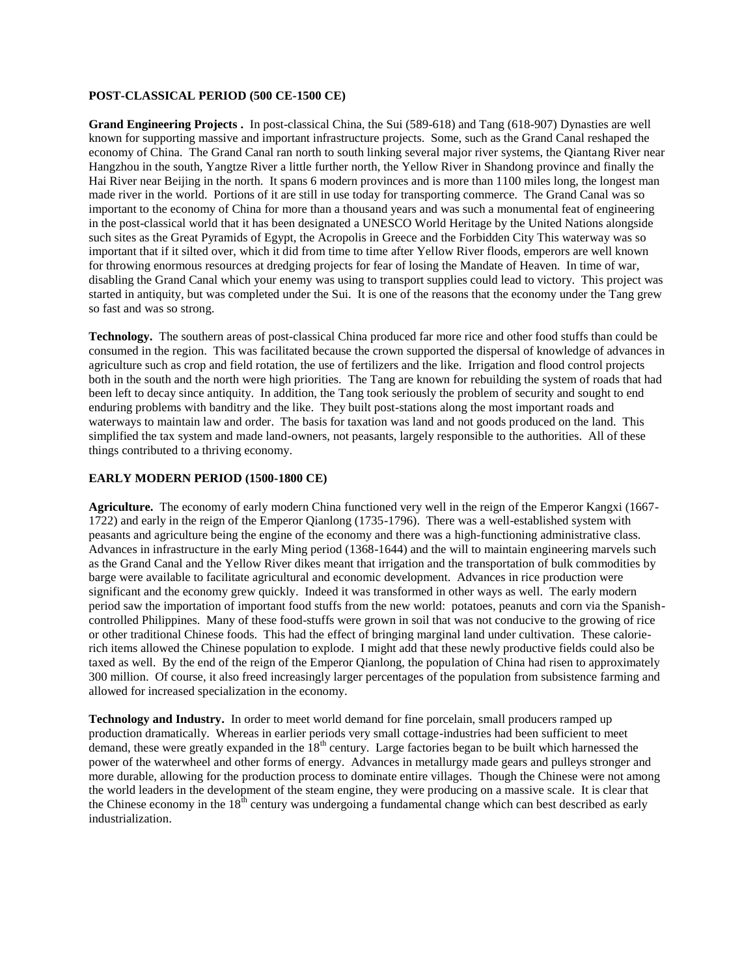#### **POST-CLASSICAL PERIOD (500 CE-1500 CE)**

**Grand Engineering Projects .** In post-classical China, the Sui (589-618) and Tang (618-907) Dynasties are well known for supporting massive and important infrastructure projects. Some, such as the Grand Canal reshaped the economy of China. The Grand Canal ran north to south linking several major river systems, the Qiantang River near Hangzhou in the south, Yangtze River a little further north, the Yellow River in Shandong province and finally the Hai River near Beijing in the north. It spans 6 modern provinces and is more than 1100 miles long, the longest man made river in the world. Portions of it are still in use today for transporting commerce. The Grand Canal was so important to the economy of China for more than a thousand years and was such a monumental feat of engineering in the post-classical world that it has been designated a UNESCO World Heritage by the United Nations alongside such sites as the Great Pyramids of Egypt, the Acropolis in Greece and the Forbidden City This waterway was so important that if it silted over, which it did from time to time after Yellow River floods, emperors are well known for throwing enormous resources at dredging projects for fear of losing the Mandate of Heaven. In time of war, disabling the Grand Canal which your enemy was using to transport supplies could lead to victory. This project was started in antiquity, but was completed under the Sui. It is one of the reasons that the economy under the Tang grew so fast and was so strong.

**Technology.** The southern areas of post-classical China produced far more rice and other food stuffs than could be consumed in the region. This was facilitated because the crown supported the dispersal of knowledge of advances in agriculture such as crop and field rotation, the use of fertilizers and the like. Irrigation and flood control projects both in the south and the north were high priorities. The Tang are known for rebuilding the system of roads that had been left to decay since antiquity. In addition, the Tang took seriously the problem of security and sought to end enduring problems with banditry and the like. They built post-stations along the most important roads and waterways to maintain law and order. The basis for taxation was land and not goods produced on the land. This simplified the tax system and made land-owners, not peasants, largely responsible to the authorities. All of these things contributed to a thriving economy.

#### **EARLY MODERN PERIOD (1500-1800 CE)**

**Agriculture.** The economy of early modern China functioned very well in the reign of the Emperor Kangxi (1667- 1722) and early in the reign of the Emperor Qianlong (1735-1796). There was a well-established system with peasants and agriculture being the engine of the economy and there was a high-functioning administrative class. Advances in infrastructure in the early Ming period (1368-1644) and the will to maintain engineering marvels such as the Grand Canal and the Yellow River dikes meant that irrigation and the transportation of bulk commodities by barge were available to facilitate agricultural and economic development. Advances in rice production were significant and the economy grew quickly. Indeed it was transformed in other ways as well. The early modern period saw the importation of important food stuffs from the new world: potatoes, peanuts and corn via the Spanishcontrolled Philippines. Many of these food-stuffs were grown in soil that was not conducive to the growing of rice or other traditional Chinese foods. This had the effect of bringing marginal land under cultivation. These calorierich items allowed the Chinese population to explode. I might add that these newly productive fields could also be taxed as well. By the end of the reign of the Emperor Qianlong, the population of China had risen to approximately 300 million. Of course, it also freed increasingly larger percentages of the population from subsistence farming and allowed for increased specialization in the economy.

**Technology and Industry.** In order to meet world demand for fine porcelain, small producers ramped up production dramatically. Whereas in earlier periods very small cottage-industries had been sufficient to meet demand, these were greatly expanded in the  $18<sup>th</sup>$  century. Large factories began to be built which harnessed the power of the waterwheel and other forms of energy. Advances in metallurgy made gears and pulleys stronger and more durable, allowing for the production process to dominate entire villages. Though the Chinese were not among the world leaders in the development of the steam engine, they were producing on a massive scale. It is clear that the Chinese economy in the  $18<sup>th</sup>$  century was undergoing a fundamental change which can best described as early industrialization.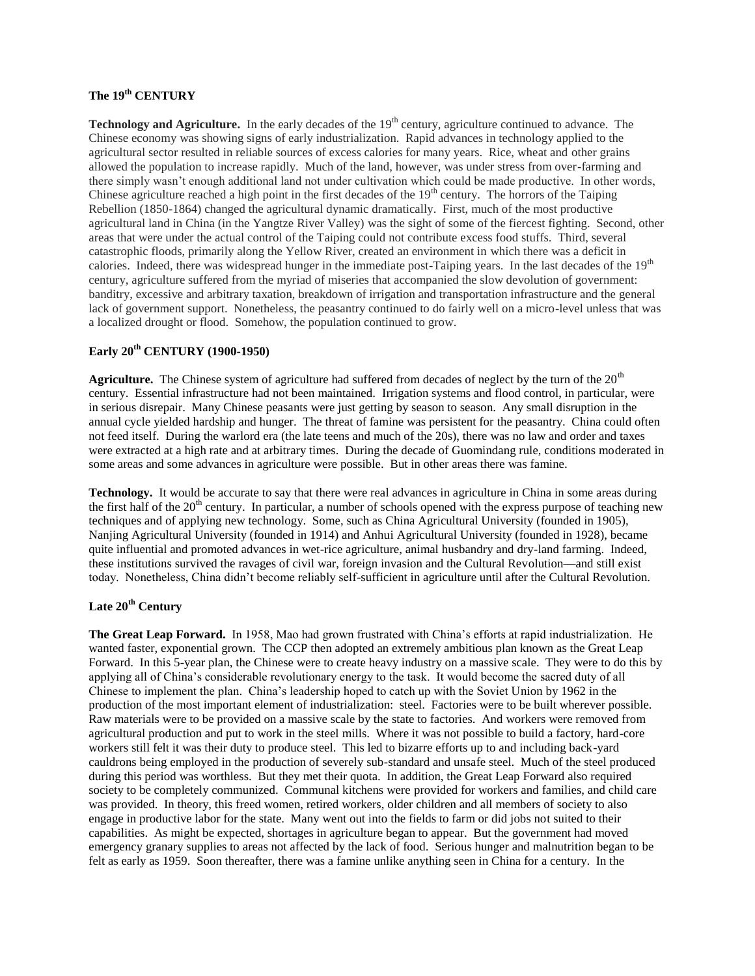# **The 19th CENTURY**

**Technology and Agriculture.** In the early decades of the 19<sup>th</sup> century, agriculture continued to advance. The Chinese economy was showing signs of early industrialization. Rapid advances in technology applied to the agricultural sector resulted in reliable sources of excess calories for many years. Rice, wheat and other grains allowed the population to increase rapidly. Much of the land, however, was under stress from over-farming and there simply wasn't enough additional land not under cultivation which could be made productive. In other words, Chinese agriculture reached a high point in the first decades of the  $19<sup>th</sup>$  century. The horrors of the Taiping Rebellion (1850-1864) changed the agricultural dynamic dramatically. First, much of the most productive agricultural land in China (in the Yangtze River Valley) was the sight of some of the fiercest fighting. Second, other areas that were under the actual control of the Taiping could not contribute excess food stuffs. Third, several catastrophic floods, primarily along the Yellow River, created an environment in which there was a deficit in calories. Indeed, there was widespread hunger in the immediate post-Taiping years. In the last decades of the 19<sup>th</sup> century, agriculture suffered from the myriad of miseries that accompanied the slow devolution of government: banditry, excessive and arbitrary taxation, breakdown of irrigation and transportation infrastructure and the general lack of government support. Nonetheless, the peasantry continued to do fairly well on a micro-level unless that was a localized drought or flood. Somehow, the population continued to grow.

## **Early 20th CENTURY (1900-1950)**

**Agriculture.** The Chinese system of agriculture had suffered from decades of neglect by the turn of the 20<sup>th</sup> century. Essential infrastructure had not been maintained. Irrigation systems and flood control, in particular, were in serious disrepair. Many Chinese peasants were just getting by season to season. Any small disruption in the annual cycle yielded hardship and hunger. The threat of famine was persistent for the peasantry. China could often not feed itself. During the warlord era (the late teens and much of the 20s), there was no law and order and taxes were extracted at a high rate and at arbitrary times. During the decade of Guomindang rule, conditions moderated in some areas and some advances in agriculture were possible. But in other areas there was famine.

**Technology.** It would be accurate to say that there were real advances in agriculture in China in some areas during the first half of the  $20<sup>th</sup>$  century. In particular, a number of schools opened with the express purpose of teaching new techniques and of applying new technology. Some, such as China Agricultural University (founded in 1905), Nanjing Agricultural University (founded in 1914) and Anhui Agricultural University (founded in 1928), became quite influential and promoted advances in wet-rice agriculture, animal husbandry and dry-land farming. Indeed, these institutions survived the ravages of civil war, foreign invasion and the Cultural Revolution—and still exist today. Nonetheless, China didn't become reliably self-sufficient in agriculture until after the Cultural Revolution.

# **Late 20th Century**

**The Great Leap Forward.** In 1958, Mao had grown frustrated with China's efforts at rapid industrialization. He wanted faster, exponential grown. The CCP then adopted an extremely ambitious plan known as the Great Leap Forward. In this 5-year plan, the Chinese were to create heavy industry on a massive scale. They were to do this by applying all of China's considerable revolutionary energy to the task. It would become the sacred duty of all Chinese to implement the plan. China's leadership hoped to catch up with the Soviet Union by 1962 in the production of the most important element of industrialization: steel. Factories were to be built wherever possible. Raw materials were to be provided on a massive scale by the state to factories. And workers were removed from agricultural production and put to work in the steel mills. Where it was not possible to build a factory, hard-core workers still felt it was their duty to produce steel. This led to bizarre efforts up to and including back-yard cauldrons being employed in the production of severely sub-standard and unsafe steel. Much of the steel produced during this period was worthless. But they met their quota. In addition, the Great Leap Forward also required society to be completely communized. Communal kitchens were provided for workers and families, and child care was provided. In theory, this freed women, retired workers, older children and all members of society to also engage in productive labor for the state. Many went out into the fields to farm or did jobs not suited to their capabilities. As might be expected, shortages in agriculture began to appear. But the government had moved emergency granary supplies to areas not affected by the lack of food. Serious hunger and malnutrition began to be felt as early as 1959. Soon thereafter, there was a famine unlike anything seen in China for a century. In the